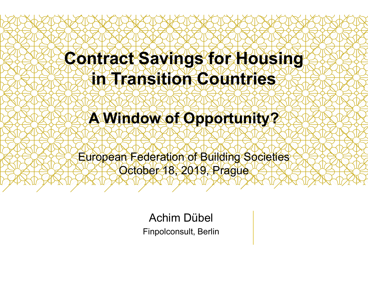### Contract Savings for Housing in Transition Countries

### A Window of Opportunity?

European Federation of Building Societies October 18, 2019, Prague

> Achim Dübel Finpolconsult, Berlin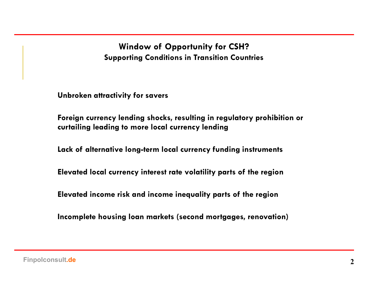Window of Opportunity for CSH? Supporting Conditions in Transition Countries

Unbroken attractivity for savers

Foreign currency lending shocks, resulting in regulatory prohibition or curtailing leading to more local currency lending

Lack of alternative long-term local currency funding instruments

Elevated local currency interest rate volatility parts of the region

Elevated income risk and income inequality parts of the region

Incomplete housing loan markets (second mortgages, renovation)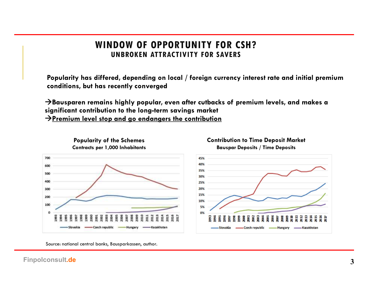### WINDOW OF OPPORTUNITY FOR CSH?

IDOW OF OPPORTUNITY FOR CSH?<br>UNBROKEN ATTRACTIVITY FOR SAVERS<br>ed, depending on local / foreign currency interest rate and initial premium<br>ecently converged Popularity has differed, depending on local / foreign currency interest rate and initial premium conditions, but has recently converged

WINDOW OF OPPORTUNITY FOR CSH?<br>
UNBROKEN ATTRACTIVITY FOR SAVERS<br>
Popularity has differed, depending on local / foreign currency interest rate and initial premium<br>
conditions, but has recently converged<br>  $\rightarrow$ Bausparen rema significant contribution to the long-term savings market  $\rightarrow$ Premium level stop and go endangers the contribution



Popularity of the Schemes

Contribution to Time Deposit Market



Source: national central banks, Bausparkassen, author.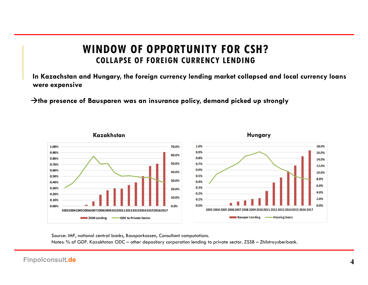## WINDOW OF OPPORTUNITY FOR CSH? COLLAPSE OF FOREIGN CURRENCY LENDING WINDOW OF OPPORTUNITY FOR CSH?<br>
COLLAPSE OF FOREIGN CURRENCY LENDING<br>
In Kazachstan and Hungary, the foreign currency lending market collapsed and la<br>
The presence of Bausparen was an insurance policy, demand picked up str

IN INDOW OF OPPORTUNITY FOR CSH?<br>COLLAPSE OF FOREIGN CURRENCY LENDING<br>In Kazachstan and Hungary, the foreign currency lending market collapsed and local currency loans<br>The presence of Bausparen was an insurance policy, dem were expensive



Source: IMF, national central banks, Bausparkassen, Consultant computations.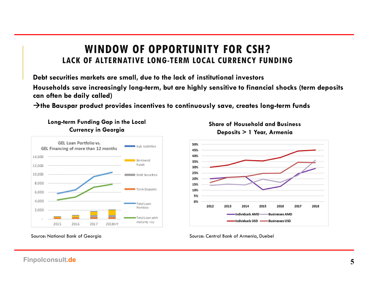#### WINDOW OF OPPORTUNITY FOR CSH? LACK OF ALTERNATIVE LONG-TERM LOCAL CURRENCY FUNDING

Debt securities markets are small, due to the lack of institutional investors Households save increasingly long-term, but are highly sensitive to financial shocks (term deposits can often be daily called) WINDOW OF OPPORTUNITY FOR CSH?<br>
LACK OF ALTERNATIVE LONG-TERM LOCAL CURRENCY FUNDING<br>
Debt securities markets are small, due to the lack of institutional investors<br>
Households save increasingly long-term, but are highly se



Long-term Funding Gap in the Local







Source: Central Bank of Armenia, Duebel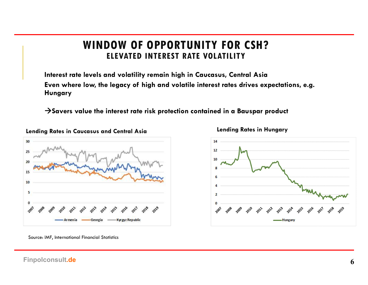#### WINDOW OF OPPORTUNITY FOR CSH? ELEVATED INTEREST RATE VOLATILITY

Interest rate levels and volatility remain high in Caucasus, Central Asia Even where low, the legacy of high and volatile interest rates drives expectations, e.g. Hungary WINDOW OF OPPORTUNITY FOR CSH?<br>ELEVATED INTEREST RATE VOLATILITY<br>Interest rate levels and volatility remain high in Caucasus, Central Asia<br>Even where low, the legacy of high and volatile interest rates drives expectations,



Lending Rates in Hungary



Source: IMF, International Financial Statistics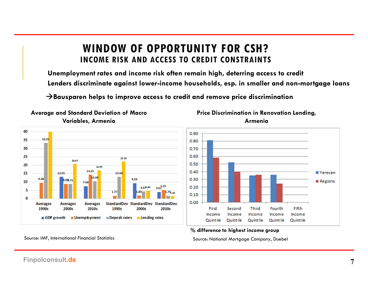## WINDOW OF OPPORTUNITY FOR CSH? INCOME RISK AND ACCESS TO CREDIT CONSTRAINTS WINDOW OF OPPORTUNITY FOR CSH?<br>
INCOME RISK AND ACCESS TO CREDIT CONSTRAINTS<br>
Unemployment rates and income risk often remain high, deterring access to cre<br>
Lenders discriminate against lower-income households, esp. in sma

Unemployment rates and income risk often remain high, deterring access to credit Lenders discriminate against lower-income households, esp. in smaller and non-mortgage loans



Average and Standard Deviation of Macro





#### % difference to highest income group

Source: IMF, International Financial Statistics Source: National Mortgage Company, Duebel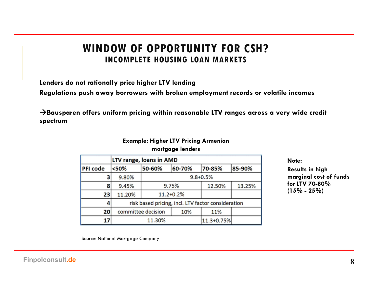#### WINDOW OF OPPORTUNITY FOR CSH? INCOMPLETE HOUSING LOAN MARKETS

Lenders do not rationally price higher LTV lending

Regulations push away borrowers with broken employment records or volatile incomes

WINDOW OF OPPORTUNITY FOR CSH?<br>INCOMPLETE HOUSING LOAN MARKETS<br>Lenders do not rationally price higher LTV lending<br>Regulations push away borrowers with broken employment records or volatile incomes<br> $\rightarrow$ Bausparen offers unif spectrum

#### Example: Higher LTV Pricing Armenian mortgage lenders

|                 | LTV range, loans in AMD                            |              |        |            |        |
|-----------------|----------------------------------------------------|--------------|--------|------------|--------|
| <b>PFI</b> code | < 50%                                              | 50-60%       | 60-70% | 70-85%     | 85-90% |
|                 | 9.80%                                              | $9.8 + 0.5%$ |        |            |        |
| 8               | 9.45%                                              | 9.75%        |        | 12.50%     | 13.25% |
| 23              | 11.20%                                             | 11.2+0.2%    |        |            |        |
|                 | risk based pricing, incl. LTV factor consideration |              |        |            |        |
| 20              | committee decision                                 |              | 10%    | 11%        |        |
| 17              | 11.30%                                             |              |        | 11.3+0.75% |        |

Note:

Results in high marginal cost of funds for LTV 70-80% incomes<br>y wide credit<br>Note:<br>Results in high<br>marginal cost of funds<br>for LTV 70-80%<br>(15% - 25%)

Source: National Mortgage Company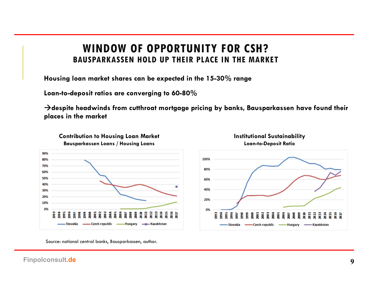# WINDOW OF OPPORTUNITY FOR CSH? WINDOW OF OPPORTUNITY FOR CSH?<br>BAUSPARKASSEN HOLD UP THEIR PLACE IN THE MARKET<br>loan market shares can be expected in the 15-30% range<br>leposit ratios are converging to 60-80%

Housing loan market shares can be expected in the 15-30% range

Loan-to-deposit ratios are converging to 60-80%

WINDOW OF OPPORTUNITY FOR CSH?<br>BAUSPARKASSEN HOLD UP THEIR PLACE IN THE MARKET<br>Housing loan market shares can be expected in the 15-30% range<br>Loan-to-deposit ratios are converging to 60-80%<br> $\rightarrow$ despite headwinds from cutth places in the market



Source: national central banks, Bausparkassen, author.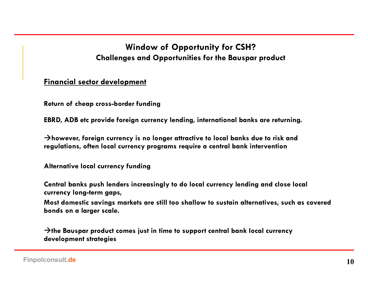# Window of Opportunity for CSH? Window of Opportunity for CSH?<br>Challenges and Opportunities for the Bauspar product<br>The development

#### Financial sector development

Return of cheap cross-border funding

Window of Opportunity for CSH?<br>Challenges and Opportunities for the Bauspar product<br>Financial sector development<br>Return of cheap cross-border funding<br>EBRD, ADB etc provide foreign currency lending, international banks are  $\rightarrow$ however, foreign currency is no longer attractive to local banks due to risk and regulations, often local currency programs require a central bank intervention

Alternative local currency funding

Central banks push lenders increasingly to do local currency lending and close local currency long-term gaps,

Most domestic savings markets are still too shallow to sustain alternatives, such as covered bonds on a larger scale. EBRD, ADB etc provide foreign currency lending, international banks are returning.<br>
→ however, foreign currency is no longer attractive to local banks due to risk and<br>
regulations, often local currency programs require a

development strategies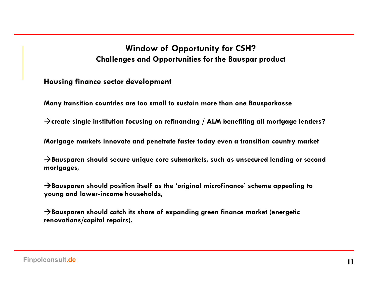# Window of Opportunity for CSH? Window of Opportunity for CSH?<br>Challenges and Opportunities for the Bauspar product<br>Le sector development

#### Housing finance sector development

Many transition countries are too small to sustain more than one Bausparkasse

 $\rightarrow$  create single institution focusing on refinancing / ALM benefiting all mortgage lenders?

Mortgage markets innovate and penetrate faster today even a transition country market

Window of Opportunity for CSH?<br>
Challenges and Opportunities for the Bauspar product<br>
Housing finance sector development<br>
Many transition countries are too small to sustain more than one Bausparkasse<br>  $\rightarrow$ create single ins mortgages, Housing finance sector development<br>Many transition countries are too small to sustain more than one Bausparkasse<br>→<br>Create single institution focusing on refinancing / ALM benefiting all mortgage lenders?<br>Mortgage markets Many transition countries are too small to sustain more than one Bausparkasse<br>  $\rightarrow$ create single institution focusing on refinancing / ALM benefiting all mortgage lenders?<br>
Mortgage markets innovate and penetrate faster to

young and lower-income households,

renovations/capital repairs).